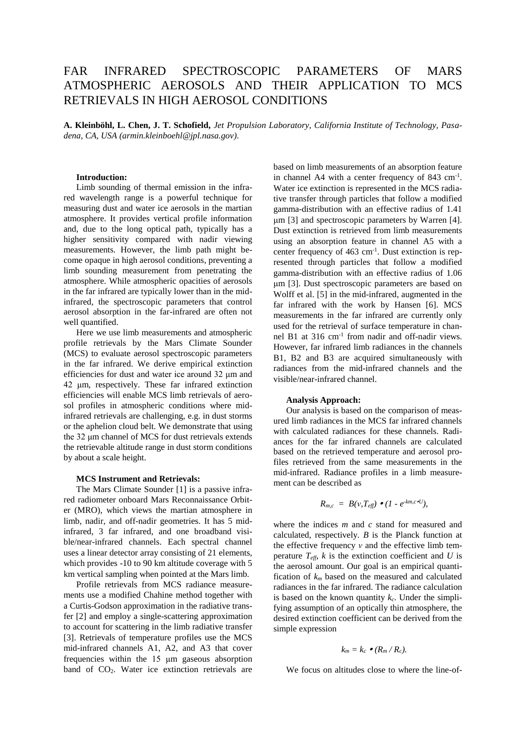# FAR INFRARED SPECTROSCOPIC PARAMETERS OF MARS ATMOSPHERIC AEROSOLS AND THEIR APPLICATION TO MCS RETRIEVALS IN HIGH AEROSOL CONDITIONS

**A. Kleinböhl, L. Chen, J. T. Schofield,** *Jet Propulsion Laboratory, California Institute of Technology, Pasadena, CA, USA (armin.kleinboehl@jpl.nasa.gov)*.

#### **Introduction:**

Limb sounding of thermal emission in the infrared wavelength range is a powerful technique for measuring dust and water ice aerosols in the martian atmosphere. It provides vertical profile information and, due to the long optical path, typically has a higher sensitivity compared with nadir viewing measurements. However, the limb path might become opaque in high aerosol conditions, preventing a limb sounding measurement from penetrating the atmosphere. While atmospheric opacities of aerosols in the far infrared are typically lower than in the midinfrared, the spectroscopic parameters that control aerosol absorption in the far-infrared are often not well quantified.

Here we use limb measurements and atmospheric profile retrievals by the Mars Climate Sounder (MCS) to evaluate aerosol spectroscopic parameters in the far infrared. We derive empirical extinction efficiencies for dust and water ice around 32 μm and 42 μm, respectively. These far infrared extinction efficiencies will enable MCS limb retrievals of aerosol profiles in atmospheric conditions where midinfrared retrievals are challenging, e.g. in dust storms or the aphelion cloud belt. We demonstrate that using the 32 μm channel of MCS for dust retrievals extends the retrievable altitude range in dust storm conditions by about a scale height.

## **MCS Instrument and Retrievals:**

The Mars Climate Sounder [1] is a passive infrared radiometer onboard Mars Reconnaissance Orbiter (MRO), which views the martian atmosphere in limb, nadir, and off-nadir geometries. It has 5 midinfrared, 3 far infrared, and one broadband visible/near-infrared channels. Each spectral channel uses a linear detector array consisting of 21 elements, which provides -10 to 90 km altitude coverage with 5 km vertical sampling when pointed at the Mars limb.

Profile retrievals from MCS radiance measurements use a modified Chahine method together with a Curtis-Godson approximation in the radiative transfer [2] and employ a single-scattering approximation to account for scattering in the limb radiative transfer [3]. Retrievals of temperature profiles use the MCS mid-infrared channels A1, A2, and A3 that cover frequencies within the 15 μm gaseous absorption band of CO<sub>2</sub>. Water ice extinction retrievals are based on limb measurements of an absorption feature in channel A4 with a center frequency of 843 cm<sup>-1</sup>. Water ice extinction is represented in the MCS radiative transfer through particles that follow a modified gamma-distribution with an effective radius of 1.41 μm [3] and spectroscopic parameters by Warren [4]. Dust extinction is retrieved from limb measurements using an absorption feature in channel A5 with a center frequency of  $463 \text{ cm}^{-1}$ . Dust extinction is represented through particles that follow a modified gamma-distribution with an effective radius of 1.06 μm [3]. Dust spectroscopic parameters are based on Wolff et al. [5] in the mid-infrared, augmented in the far infrared with the work by Hansen [6]. MCS measurements in the far infrared are currently only used for the retrieval of surface temperature in channel B1 at 316 cm-1 from nadir and off-nadir views. However, far infrared limb radiances in the channels B1, B2 and B3 are acquired simultaneously with radiances from the mid-infrared channels and the visible/near-infrared channel.

# **Analysis Approach:**

Our analysis is based on the comparison of measured limb radiances in the MCS far infrared channels with calculated radiances for these channels. Radiances for the far infrared channels are calculated based on the retrieved temperature and aerosol profiles retrieved from the same measurements in the mid-infrared. Radiance profiles in a limb measurement can be described as

$$
R_{m,c} = B(v,T_{\text{eff}}) \bullet (1 - e^{-km,c \bullet U}),
$$

where the indices *m* and *c* stand for measured and calculated, respectively. *B* is the Planck function at the effective frequency *ν* and the effective limb temperature  $T_{\text{eff}}$ , *k* is the extinction coefficient and *U* is the aerosol amount. Our goal is an empirical quantification of *k<sup>m</sup>* based on the measured and calculated radiances in the far infrared. The radiance calculation is based on the known quantity  $k_c$ . Under the simplifying assumption of an optically thin atmosphere, the desired extinction coefficient can be derived from the simple expression

$$
k_m = k_c \bullet (R_m/R_c).
$$

We focus on altitudes close to where the line-of-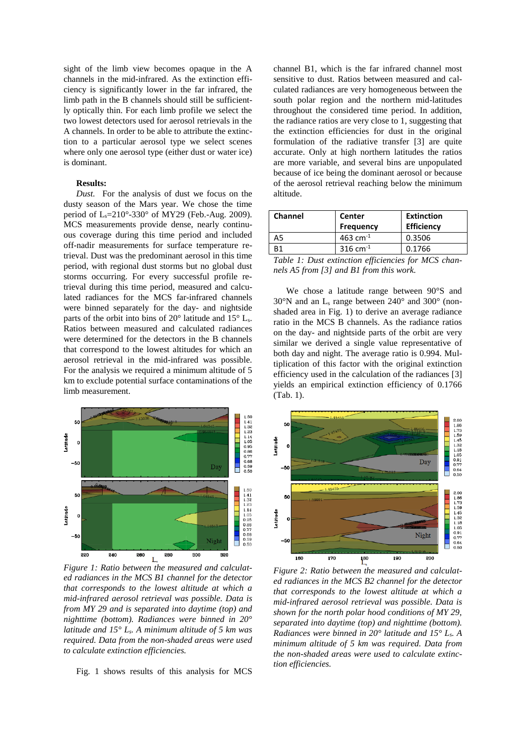sight of the limb view becomes opaque in the A channels in the mid-infrared. As the extinction efficiency is significantly lower in the far infrared, the limb path in the B channels should still be sufficiently optically thin. For each limb profile we select the two lowest detectors used for aerosol retrievals in the A channels. In order to be able to attribute the extinction to a particular aerosol type we select scenes where only one aerosol type (either dust or water ice) is dominant.

#### **Results:**

*Dust.* For the analysis of dust we focus on the dusty season of the Mars year. We chose the time period of Ls=210°-330° of MY29 (Feb.-Aug. 2009). MCS measurements provide dense, nearly continuous coverage during this time period and included off-nadir measurements for surface temperature retrieval. Dust was the predominant aerosol in this time period, with regional dust storms but no global dust storms occurring. For every successful profile retrieval during this time period, measured and calculated radiances for the MCS far-infrared channels were binned separately for the day- and nightside parts of the orbit into bins of 20° latitude and 15° Ls. Ratios between measured and calculated radiances were determined for the detectors in the B channels that correspond to the lowest altitudes for which an aerosol retrieval in the mid-infrared was possible. For the analysis we required a minimum altitude of 5 km to exclude potential surface contaminations of the limb measurement.



*Figure 1: Ratio between the measured and calculated radiances in the MCS B1 channel for the detector that corresponds to the lowest altitude at which a mid-infrared aerosol retrieval was possible. Data is from MY 29 and is separated into daytime (top) and nighttime (bottom). Radiances were binned in 20° latitude and 15° Ls. A minimum altitude of 5 km was required. Data from the non-shaded areas were used to calculate extinction efficiencies.*

Fig. 1 shows results of this analysis for MCS

channel B1, which is the far infrared channel most sensitive to dust. Ratios between measured and calculated radiances are very homogeneous between the south polar region and the northern mid-latitudes throughout the considered time period. In addition, the radiance ratios are very close to 1, suggesting that the extinction efficiencies for dust in the original formulation of the radiative transfer [3] are quite accurate. Only at high northern latitudes the ratios are more variable, and several bins are unpopulated because of ice being the dominant aerosol or because of the aerosol retrieval reaching below the minimum altitude.

| Channel                           | Center<br><b>Frequency</b> | <b>Extinction</b><br><b>Efficiency</b> |
|-----------------------------------|----------------------------|----------------------------------------|
| А5                                | 463 cm <sup>-1</sup>       | 0.3506                                 |
|                                   | 316 cm <sup>-1</sup>       | 0.1766                                 |
| <b>STATE OF PERSONAL PROPERTY</b> | ____                       |                                        |

*Table 1: Dust extinction efficiencies for MCS channels A5 from [3] and B1 from this work.*

We chose a latitude range between 90°S and  $30^{\circ}$ N and an L<sub>s</sub> range between  $240^{\circ}$  and  $300^{\circ}$  (nonshaded area in Fig. 1) to derive an average radiance ratio in the MCS B channels. As the radiance ratios on the day- and nightside parts of the orbit are very similar we derived a single value representative of both day and night. The average ratio is 0.994. Multiplication of this factor with the original extinction efficiency used in the calculation of the radiances [3] yields an empirical extinction efficiency of 0.1766 (Tab. 1).



*Figure 2: Ratio between the measured and calculated radiances in the MCS B2 channel for the detector that corresponds to the lowest altitude at which a mid-infrared aerosol retrieval was possible. Data is shown for the north polar hood conditions of MY 29, separated into daytime (top) and nighttime (bottom). Radiances were binned in 20° latitude and 15° Ls. A minimum altitude of 5 km was required. Data from the non-shaded areas were used to calculate extinction efficiencies.*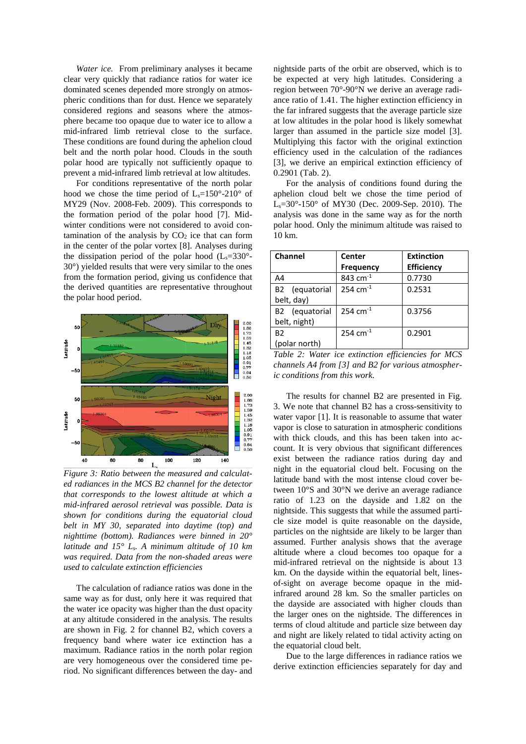*Water ice.* From preliminary analyses it became clear very quickly that radiance ratios for water ice dominated scenes depended more strongly on atmospheric conditions than for dust. Hence we separately considered regions and seasons where the atmosphere became too opaque due to water ice to allow a mid-infrared limb retrieval close to the surface. These conditions are found during the aphelion cloud belt and the north polar hood. Clouds in the south polar hood are typically not sufficiently opaque to prevent a mid-infrared limb retrieval at low altitudes.

For conditions representative of the north polar hood we chose the time period of  $L_s=150^\circ-210^\circ$  of MY29 (Nov. 2008-Feb. 2009). This corresponds to the formation period of the polar hood [7]. Midwinter conditions were not considered to avoid contamination of the analysis by  $CO<sub>2</sub>$  ice that can form in the center of the polar vortex [8]. Analyses during the dissipation period of the polar hood  $(L_s=330^\circ -$ 30°) yielded results that were very similar to the ones from the formation period, giving us confidence that the derived quantities are representative throughout the polar hood period.



*Figure 3: Ratio between the measured and calculated radiances in the MCS B2 channel for the detector that corresponds to the lowest altitude at which a mid-infrared aerosol retrieval was possible. Data is shown for conditions during the equatorial cloud belt in MY 30, separated into daytime (top) and nighttime (bottom). Radiances were binned in 20° latitude and 15° Ls. A minimum altitude of 10 km was required. Data from the non-shaded areas were used to calculate extinction efficiencies*

The calculation of radiance ratios was done in the same way as for dust, only here it was required that the water ice opacity was higher than the dust opacity at any altitude considered in the analysis. The results are shown in Fig. 2 for channel B2, which covers a frequency band where water ice extinction has a maximum. Radiance ratios in the north polar region are very homogeneous over the considered time period. No significant differences between the day- and

nightside parts of the orbit are observed, which is to be expected at very high latitudes. Considering a region between 70°-90°N we derive an average radiance ratio of 1.41. The higher extinction efficiency in the far infrared suggests that the average particle size at low altitudes in the polar hood is likely somewhat larger than assumed in the particle size model [3]. Multiplying this factor with the original extinction efficiency used in the calculation of the radiances [3], we derive an empirical extinction efficiency of 0.2901 (Tab. 2).

For the analysis of conditions found during the aphelion cloud belt we chose the time period of Ls=30°-150° of MY30 (Dec. 2009-Sep. 2010). The analysis was done in the same way as for the north polar hood. Only the minimum altitude was raised to 10 km.

| Channel                    | Center                 | <b>Extinction</b> |
|----------------------------|------------------------|-------------------|
|                            | <b>Frequency</b>       | <b>Efficiency</b> |
| A4                         | 843 cm <sup>-1</sup>   | 0.7730            |
| B2 (equatorial             | $254$ cm <sup>-1</sup> | 0.2531            |
| belt, day)                 |                        |                   |
| B <sub>2</sub> (equatorial | $254$ cm <sup>-1</sup> | 0.3756            |
| belt, night)               |                        |                   |
| B <sub>2</sub>             | 254 cm <sup>-1</sup>   | 0.2901            |
| (polar north)              |                        |                   |

*Table 2: Water ice extinction efficiencies for MCS channels A4 from [3] and B2 for various atmospheric conditions from this work.*

The results for channel B2 are presented in Fig. 3. We note that channel B2 has a cross-sensitivity to water vapor [1]. It is reasonable to assume that water vapor is close to saturation in atmospheric conditions with thick clouds, and this has been taken into account. It is very obvious that significant differences exist between the radiance ratios during day and night in the equatorial cloud belt. Focusing on the latitude band with the most intense cloud cover between 10°S and 30°N we derive an average radiance ratio of 1.23 on the dayside and 1.82 on the nightside. This suggests that while the assumed particle size model is quite reasonable on the dayside, particles on the nightside are likely to be larger than assumed. Further analysis shows that the average altitude where a cloud becomes too opaque for a mid-infrared retrieval on the nightside is about 13 km. On the dayside within the equatorial belt, linesof-sight on average become opaque in the midinfrared around 28 km. So the smaller particles on the dayside are associated with higher clouds than the larger ones on the nightside. The differences in terms of cloud altitude and particle size between day and night are likely related to tidal activity acting on the equatorial cloud belt.

Due to the large differences in radiance ratios we derive extinction efficiencies separately for day and